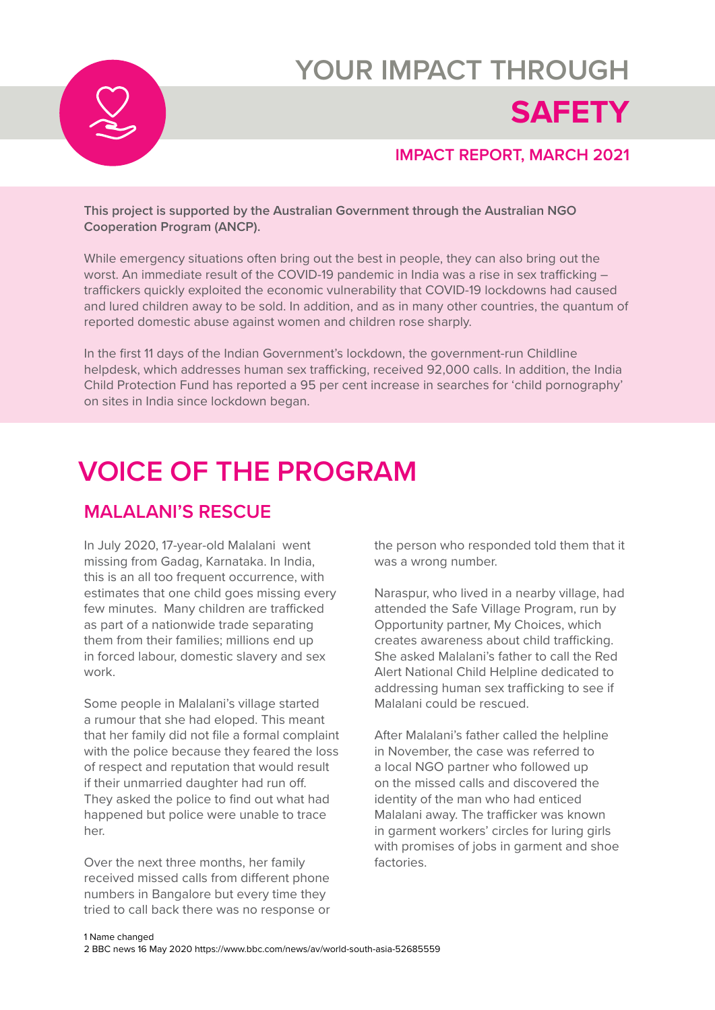

# **YOUR IMPACT THROUGH SAFETY**

#### **IMPACT REPORT, MARCH 2021**

#### **This project is supported by the Australian Government through the Australian NGO Cooperation Program (ANCP).**

While emergency situations often bring out the best in people, they can also bring out the worst. An immediate result of the COVID-19 pandemic in India was a rise in sex trafficking – traffickers quickly exploited the economic vulnerability that COVID-19 lockdowns had caused and lured children away to be sold. In addition, and as in many other countries, the quantum of reported domestic abuse against women and children rose sharply.

In the first 11 days of the Indian Government's lockdown, the government-run Childline helpdesk, which addresses human sex trafficking, received 92,000 calls. In addition, the India Child Protection Fund has reported a 95 per cent increase in searches for 'child pornography' on sites in India since lockdown began.

# **VOICE OF THE PROGRAM**

### **MALALANI'S RESCUE**

In July 2020, 17-year-old Malalani went missing from Gadag, Karnataka. In India, this is an all too frequent occurrence, with estimates that one child goes missing every few minutes. Many children are trafficked as part of a nationwide trade separating them from their families; millions end up in forced labour, domestic slavery and sex work.

Some people in Malalani's village started a rumour that she had eloped. This meant that her family did not file a formal complaint with the police because they feared the loss of respect and reputation that would result if their unmarried daughter had run off. They asked the police to find out what had happened but police were unable to trace her.

Over the next three months, her family received missed calls from different phone numbers in Bangalore but every time they tried to call back there was no response or the person who responded told them that it was a wrong number.

Naraspur, who lived in a nearby village, had attended the Safe Village Program, run by Opportunity partner, My Choices, which creates awareness about child trafficking. She asked Malalani's father to call the Red Alert National Child Helpline dedicated to addressing human sex trafficking to see if Malalani could be rescued.

After Malalani's father called the helpline in November, the case was referred to a local NGO partner who followed up on the missed calls and discovered the identity of the man who had enticed Malalani away. The trafficker was known in garment workers' circles for luring girls with promises of jobs in garment and shoe factories.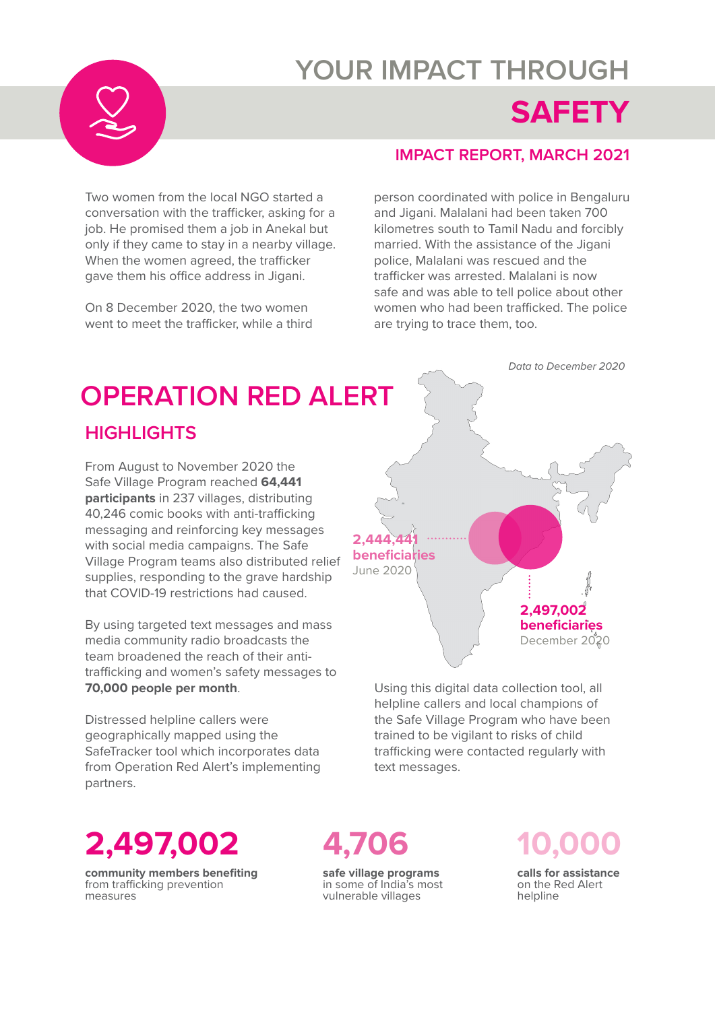# YOUR IMPACT THROUGH **SAFETY**

#### **IMPACT REPORT, MARCH 2021**

Two women from the local NGO started a conversation with the trafficker, asking for a job. He promised them a job in Anekal but only if they came to stay in a nearby village. When the women agreed, the trafficker gave them his office address in Jigani.

On 8 December 2020, the two women went to meet the trafficker, while a third person coordinated with police in Bengaluru and Jigani. Malalani had been taken 700 kilometres south to Tamil Nadu and forcibly married. With the assistance of the Jigani police, Malalani was rescued and the trafficker was arrested. Malalani is now safe and was able to tell police about other women who had been trafficked. The police are trying to trace them, too.

*Data to December 2020*

## **OPERATION RED ALERT HIGHLIGHTS**

From August to November 2020 the Safe Village Program reached **64,441 participants** in 237 villages, distributing 40,246 comic books with anti-trafficking messaging and reinforcing key messages with social media campaigns. The Safe Village Program teams also distributed relief supplies, responding to the grave hardship that COVID-19 restrictions had caused.

By using targeted text messages and mass media community radio broadcasts the team broadened the reach of their antitrafficking and women's safety messages to **70,000 people per month**.

Distressed helpline callers were geographically mapped using the SafeTracker tool which incorporates data from Operation Red Alert's implementing partners.

**2,497,002 beneficiaries** December 2020 **2,444,441 beneficiaries** June 2020

Using this digital data collection tool, all helpline callers and local champions of the Safe Village Program who have been trained to be vigilant to risks of child trafficking were contacted regularly with text messages.

**2,497,002 4,706**

**community members benefiting**  from trafficking prevention measures

**safe village programs**  in some of India's most vulnerable villages

**calls for assistance**  on the Red Alert helpline **10,000**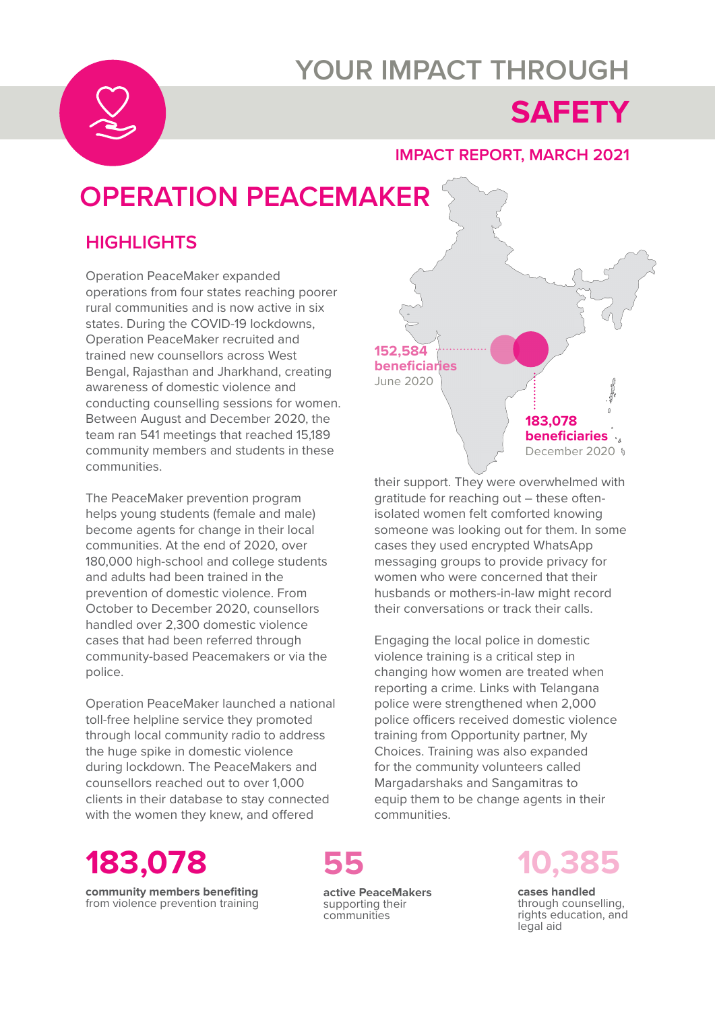# YOUR IMPACT THROUGH



## **SAFETY**

#### **IMPACT REPORT, MARCH 2021**

# **OPERATION PEACEMAKER**

### **HIGHLIGHTS**

Operation PeaceMaker expanded operations from four states reaching poorer rural communities and is now active in six states. During the COVID-19 lockdowns, Operation PeaceMaker recruited and trained new counsellors across West Bengal, Rajasthan and Jharkhand, creating awareness of domestic violence and conducting counselling sessions for women. Between August and December 2020, the team ran 541 meetings that reached 15,189 community members and students in these communities.

The PeaceMaker prevention program helps young students (female and male) become agents for change in their local communities. At the end of 2020, over 180,000 high-school and college students and adults had been trained in the prevention of domestic violence. From October to December 2020, counsellors handled over 2,300 domestic violence cases that had been referred through community-based Peacemakers or via the police.

Operation PeaceMaker launched a national toll-free helpline service they promoted through local community radio to address the huge spike in domestic violence during lockdown. The PeaceMakers and counsellors reached out to over 1,000 clients in their database to stay connected with the women they knew, and offered

**183,078 beneficiaries** December 2020 \$ **152,584 beneficiaries** June 2020

their support. They were overwhelmed with gratitude for reaching out – these oftenisolated women felt comforted knowing someone was looking out for them. In some cases they used encrypted WhatsApp messaging groups to provide privacy for women who were concerned that their husbands or mothers-in-law might record their conversations or track their calls.

Engaging the local police in domestic violence training is a critical step in changing how women are treated when reporting a crime. Links with Telangana police were strengthened when 2,000 police officers received domestic violence training from Opportunity partner, My Choices. Training was also expanded for the community volunteers called Margadarshaks and Sangamitras to equip them to be change agents in their communities.

**183,078 community members benefiting**  from violence prevention training



**active PeaceMakers**  supporting their communities



**cases handled**  through counselling, rights education, and legal aid